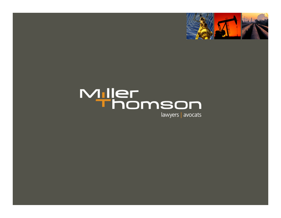

# Miller<br>Thomson

lawyers | avocats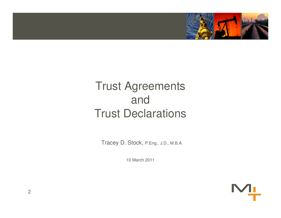

#### Trust AgreementsandTrust Declarations

Tracey D. Stock, P.Eng., J.D., M.B.A.

10 March 2011

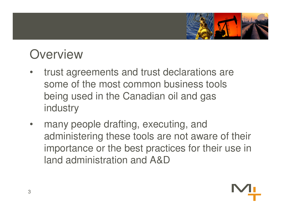

#### **Overview**

- trust agreements and trust declarations are •some of the most common business tools being used in the Canadian oil and gas industry
- • many people drafting, executing, and administering these tools are not aware of their importance or the best practices for their use in land administration and A&D

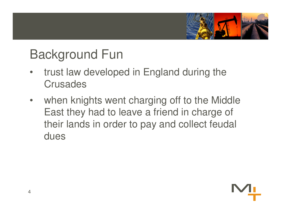

## Background Fun

- $\bullet$  trust law developed in England during the **Crusades**
- $\bullet$  when knights went charging off to the Middle East they had to leave a friend in charge of their lands in order to pay and collect feudal dues

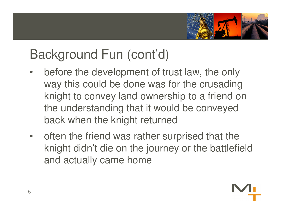

- • before the development of trust law, the only way this could be done was for the crusading knight to convey land ownership to a friend on the understanding that it would be conveyed back when the knight returned
- • often the friend was rather surprised that the knight didn't die on the journey or the battlefieldand actually came home

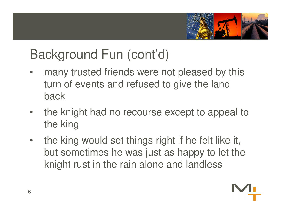

- • many trusted friends were not pleased by this turn of events and refused to give the land back
- • the knight had no recourse except to appeal to the king
- • the king would set things right if he felt like it, but sometimes he was just as happy to let the knight rust in the rain alone and landless

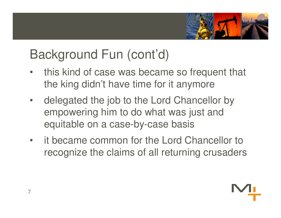

- • this kind of case was became so frequent that the king didn't have time for it anymore
- • delegated the job to the Lord Chancellor by empowering him to do what was just and equitable on a case-by-case basis
- • it became common for the Lord Chancellor to recognize the claims of all returning crusaders

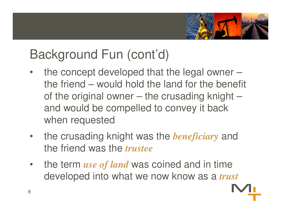

- • the concept developed that the legal owner – the friend – would hold the land for the benefit of the original owner – the crusading knight –and would be compelled to convey it back when requested
- $\bullet$  the crusading knight was the *beneficiary* and the friend was the *trustee*
- $\bullet$  the term *use of land* was coined and in time developed into what we now know as a *trust*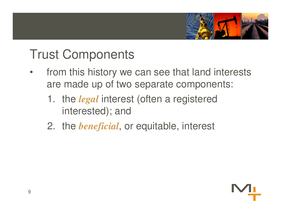

### Trust Components

- $\bullet$  from this history we can see that land interests are made up of two separate components:
	- 1. the *legal* interest (often a registered interested); and
	- 2. the *beneficial*, or equitable, interest

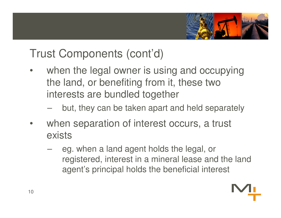

#### Trust Components (cont'd)

- •when the legal owner is using and occupying the land, or benefiting from it, these two interests are bundled together
	- –but, they can be taken apart and held separately
- •when separation of interest occurs, a trust exists
	- $\mathcal{L}_{\mathcal{A}}$  eg. when a land agent holds the legal, or registered, interest in a mineral lease and the land agent's principal holds the beneficial interest

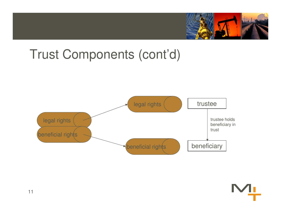

#### Trust Components (cont'd)



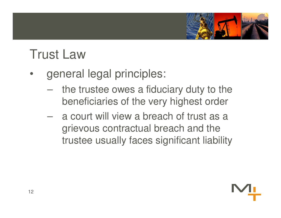

### Trust Law

- • general legal principles:
	- **However the Common**  the trustee owes a fiduciary duty to the beneficiaries of the very highest order
	- **However the Community**  a court will view a breach of trust as a grievous contractual breach and the trustee usually faces significant liability

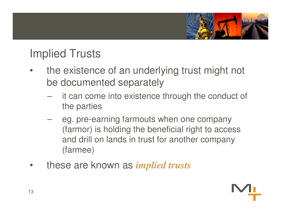

#### Implied Trusts

- • the existence of an underlying trust might not be documented separately
	- $\mathcal{L}_{\mathcal{A}}$  it can come into existence through the conduct of the parties
	- – eg. pre-earning farmouts when one company (farmor) is holding the beneficial right to access and drill on lands in trust for another company (farmee)
- $\bullet$ these are known as *implied trusts*

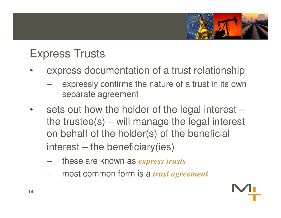

#### Express Trusts

- • express documentation of a trust relationship
	- $\mathcal{L}_{\mathcal{A}}$  , where  $\mathcal{L}_{\mathcal{A}}$  is the set of the set of the set of the set of the set of the set of the set of the set of the set of the set of the set of the set of the set of the set of the set of the set of the expressly confirms the nature of a trust in its own separate agreement
- • sets out how the holder of the legal interest – the trustee(s) – will manage the legal interest on behalf of the holder(s) of the beneficial interest – the beneficiary(ies)
	- –these are known as *express trusts*
	- –most common form is a *trust agreement*

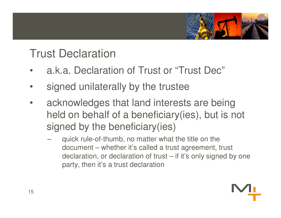

#### Trust Declaration

- •a.k.a. Declaration of Trust or "Trust Dec"
- •signed unilaterally by the trustee
- • acknowledges that land interests are being held on behalf of a beneficiary(ies), but is not signed by the beneficiary(ies)
	- quick rule-of-thumb, no matter what the title on the document – whether it's called a trust agreement, trust declaration, or declaration of trust – if it's only signed by one party, then it's a trust declaration

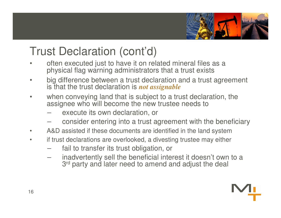

#### Trust Declaration (cont'd)

- • often executed just to have it on related mineral files as a physical flag warning administrators that a trust exists
- • big difference between a trust declaration and a trust agreement is that the trust declaration is *not assignable*
- • when conveying land that is subject to a trust declaration, the assignee who will become the new trustee needs to
	- execute its own declaration, or
	- consider entering into a trust agreement with the beneficiary
- •A&D assisted if these documents are identified in the land system
- if trust declarations are overlooked, a divesting trustee may either •
	- fail to transfer its trust obligation, or
	- inadvertently sell the beneficial interest it doesn't own to a 3<sup>rd</sup> party and later need to amend and adjust the deal

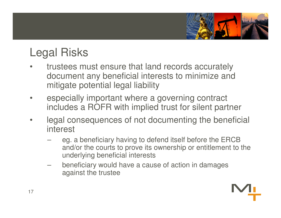

#### Legal Risks

- • trustees must ensure that land records accurately document any beneficial interests to minimize and mitigate potential legal liability
- • especially important where a governing contract includes a ROFR with implied trust for silent partner
- • legal consequences of not documenting the beneficial interest
	- eg. a beneficiary having to defend itself before the ERCB and/or the courts to prove its ownership or entitlement to the underlying beneficial interests
	- beneficiary would have a cause of action in damages against the trustee

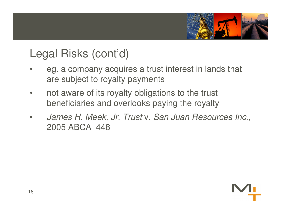

#### Legal Risks (cont'd)

- • eg. a company acquires a trust interest in lands that are subject to royalty payments
- • not aware of its royalty obligations to the trust beneficiaries and overlooks paying the royalty
- • James H. Meek, Jr. Trust v. San Juan Resources Inc., 2005 ABCA 448

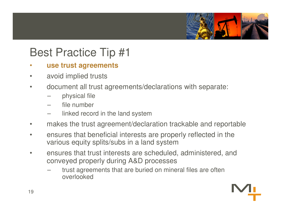

#### Best Practice Tip #1

#### •**use trust agreements**

- •avoid implied trusts
- $\bullet$  document all trust agreements/declarations with separate:
	- physical file
	- file number
	- linked record in the land system
- makes the trust agreement/declaration trackable and reportable•
- • ensures that beneficial interests are properly reflected in the various equity splits/subs in a land system
- ensures that trust interests are scheduled, administered, and •conveyed properly during A&D processes
	- trust agreements that are buried on mineral files are often overlooked

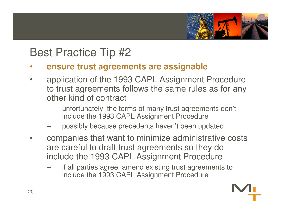

#### Best Practice Tip #2

- **ensure trust agreements are assignable**•
- • application of the 1993 CAPL Assignment Procedure to trust agreements follows the same rules as for any other kind of contract
	- unfortunately, the terms of many trust agreements don't include the 1993 CAPL Assignment Procedure
	- possibly because precedents haven't been updated
- • companies that want to minimize administrative costs are careful to draft trust agreements so they do include the 1993 CAPL Assignment Procedure
	- if all parties agree, amend existing trust agreements to include the 1993 CAPL Assignment Procedure

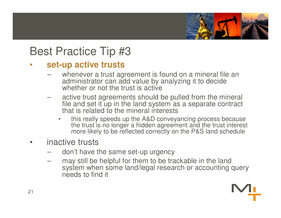

#### Best Practice Tip #3

#### **set-up active trusts**•

- whenever a trust agreement is found on a mineral file an administrator can add value by analyzing it to decide whether or not the trust is active
- active trust agreements should be pulled from the mineral file and set it up in the land system as a separate contract that is related to the mineral interests
	- this really speeds up the A&D conveyancing process because •the trust is no longer a hidden agreement and the trust interest more likely to be reflected correctly on the P&S land schedule
- • inactive trusts
	- don't have the same set-up urgency
	- may still be helpful for them to be trackable in the land system when some land/legal research or accounting query needs to find it